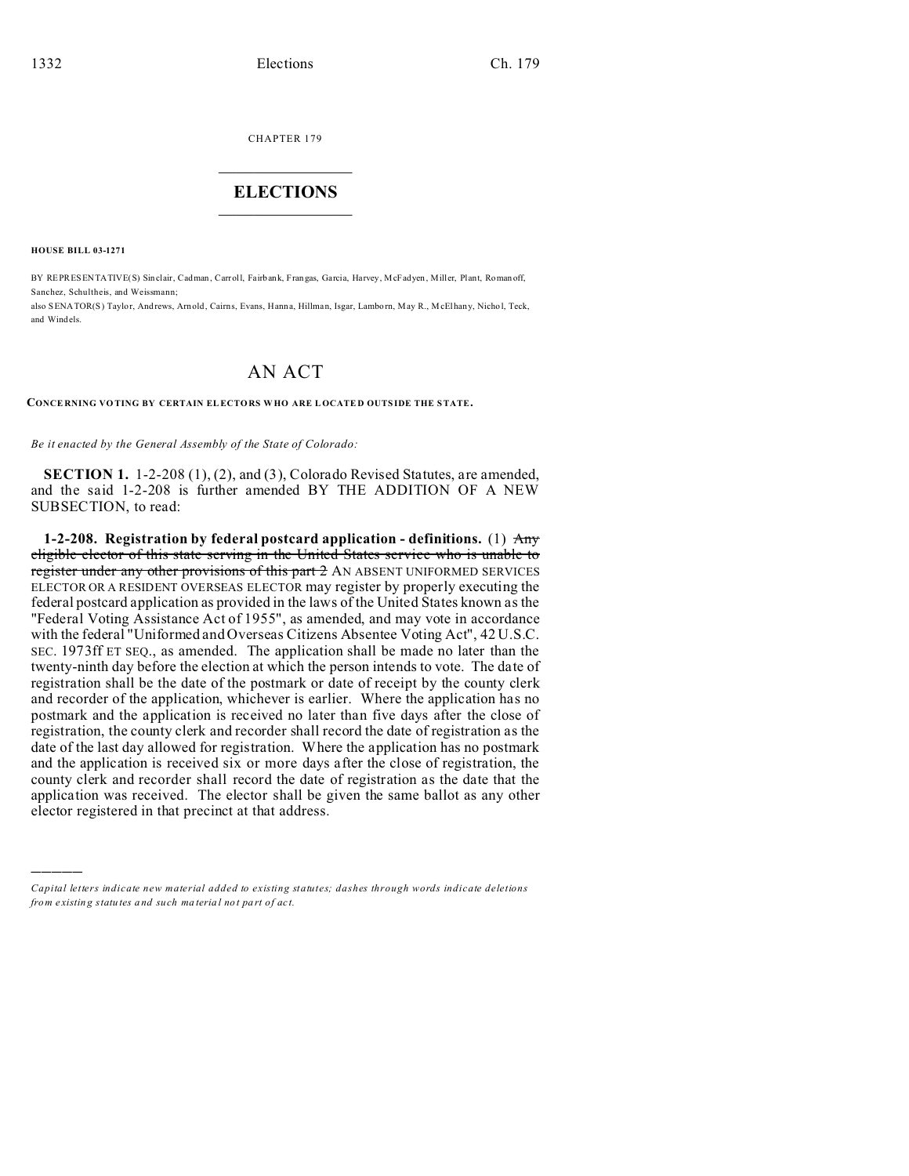CHAPTER 179  $\overline{\phantom{a}}$  , where  $\overline{\phantom{a}}$ 

## **ELECTIONS**  $\_$

**HOUSE BILL 03-1271**

)))))

BY REPRESENTATIVE(S) Sinclair, Cadman, Carroll, Fairbank, Frangas, Garcia, Harvey, McFadyen, Miller, Plant, Roman off, Sanchez, Schultheis, and Weissmann;

also SENATOR(S) Taylor, And rews, Arn old, Cairns, Evans, Hanna, Hillman, Isgar, Lambo rn, May R., McElhany, Nicho l, Teck, and Windels.

## AN ACT

**CONCE RNING VO TING BY CERTAIN EL ECTORS WHO ARE L OCATE D OUTS IDE THE STATE.**

*Be it enacted by the General Assembly of the State of Colorado:*

**SECTION 1.** 1-2-208 (1), (2), and (3), Colorado Revised Statutes, are amended, and the said 1-2-208 is further amended BY THE ADDITION OF A NEW SUBSECTION, to read:

**1-2-208. Registration by federal postcard application - definitions.** (1) Any eligible elector of this state serving in the United States service who is unable to register under any other provisions of this part 2 AN ABSENT UNIFORMED SERVICES ELECTOR OR A RESIDENT OVERSEAS ELECTOR may register by properly executing the federal postcard application as provided in the laws of the United States known as the "Federal Voting Assistance Act of 1955", as amended, and may vote in accordance with the federal "Uniformed and Overseas Citizens Absentee Voting Act", 42 U.S.C. SEC. 1973ff ET SEQ., as amended. The application shall be made no later than the twenty-ninth day before the election at which the person intends to vote. The date of registration shall be the date of the postmark or date of receipt by the county clerk and recorder of the application, whichever is earlier. Where the application has no postmark and the application is received no later than five days after the close of registration, the county clerk and recorder shall record the date of registration as the date of the last day allowed for registration. Where the application has no postmark and the application is received six or more days after the close of registration, the county clerk and recorder shall record the date of registration as the date that the application was received. The elector shall be given the same ballot as any other elector registered in that precinct at that address.

*Capital letters indicate new material added to existing statutes; dashes through words indicate deletions from e xistin g statu tes a nd such ma teria l no t pa rt of ac t.*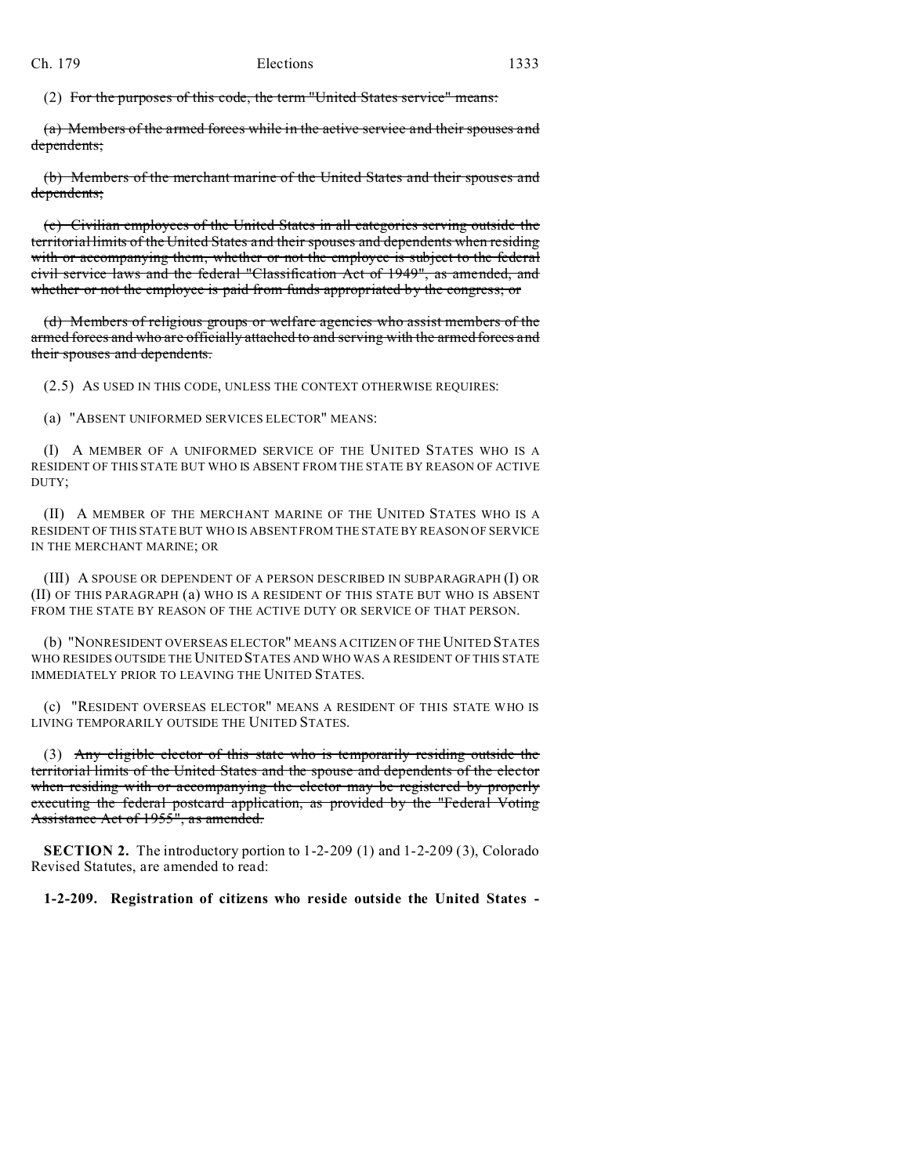(2) For the purposes of this code, the term "United States service" means:

(a) Members of the armed forces while in the active service and their spouses and dependents;

(b) Members of the merchant marine of the United States and their spouses and dependents;

(c) Civilian employees of the United States in all categories serving outside the territorial limits of the United States and their spouses and dependents when residing with or accompanying them, whether or not the employee is subject to the federal civil service laws and the federal "Classification Act of 1949", as amended, and whether or not the employee is paid from funds appropriated by the congress; or

(d) Members of religious groups or welfare agencies who assist members of the armed forces and who are officially attached to and serving with the armed forces and their spouses and dependents.

(2.5) AS USED IN THIS CODE, UNLESS THE CONTEXT OTHERWISE REQUIRES:

(a) "ABSENT UNIFORMED SERVICES ELECTOR" MEANS:

(I) A MEMBER OF A UNIFORMED SERVICE OF THE UNITED STATES WHO IS A RESIDENT OF THIS STATE BUT WHO IS ABSENT FROM THE STATE BY REASON OF ACTIVE DUTY;

(II) A MEMBER OF THE MERCHANT MARINE OF THE UNITED STATES WHO IS A RESIDENT OF THIS STATE BUT WHO IS ABSENT FROM THE STATE BY REASON OF SERVICE IN THE MERCHANT MARINE; OR

(III) A SPOUSE OR DEPENDENT OF A PERSON DESCRIBED IN SUBPARAGRAPH (I) OR (II) OF THIS PARAGRAPH (a) WHO IS A RESIDENT OF THIS STATE BUT WHO IS ABSENT FROM THE STATE BY REASON OF THE ACTIVE DUTY OR SERVICE OF THAT PERSON.

(b) "NONRESIDENT OVERSEAS ELECTOR" MEANS A CITIZEN OF THE UNITED STATES WHO RESIDES OUTSIDE THE UNITED STATES AND WHO WAS A RESIDENT OF THIS STATE IMMEDIATELY PRIOR TO LEAVING THE UNITED STATES.

(c) "RESIDENT OVERSEAS ELECTOR" MEANS A RESIDENT OF THIS STATE WHO IS LIVING TEMPORARILY OUTSIDE THE UNITED STATES.

(3) Any eligible elector of this state who is temporarily residing outside the territorial limits of the United States and the spouse and dependents of the elector when residing with or accompanying the elector may be registered by properly executing the federal postcard application, as provided by the "Federal Voting Assistance Act of 1955", as amended.

**SECTION 2.** The introductory portion to 1-2-209 (1) and 1-2-209 (3), Colorado Revised Statutes, are amended to read:

**1-2-209. Registration of citizens who reside outside the United States -**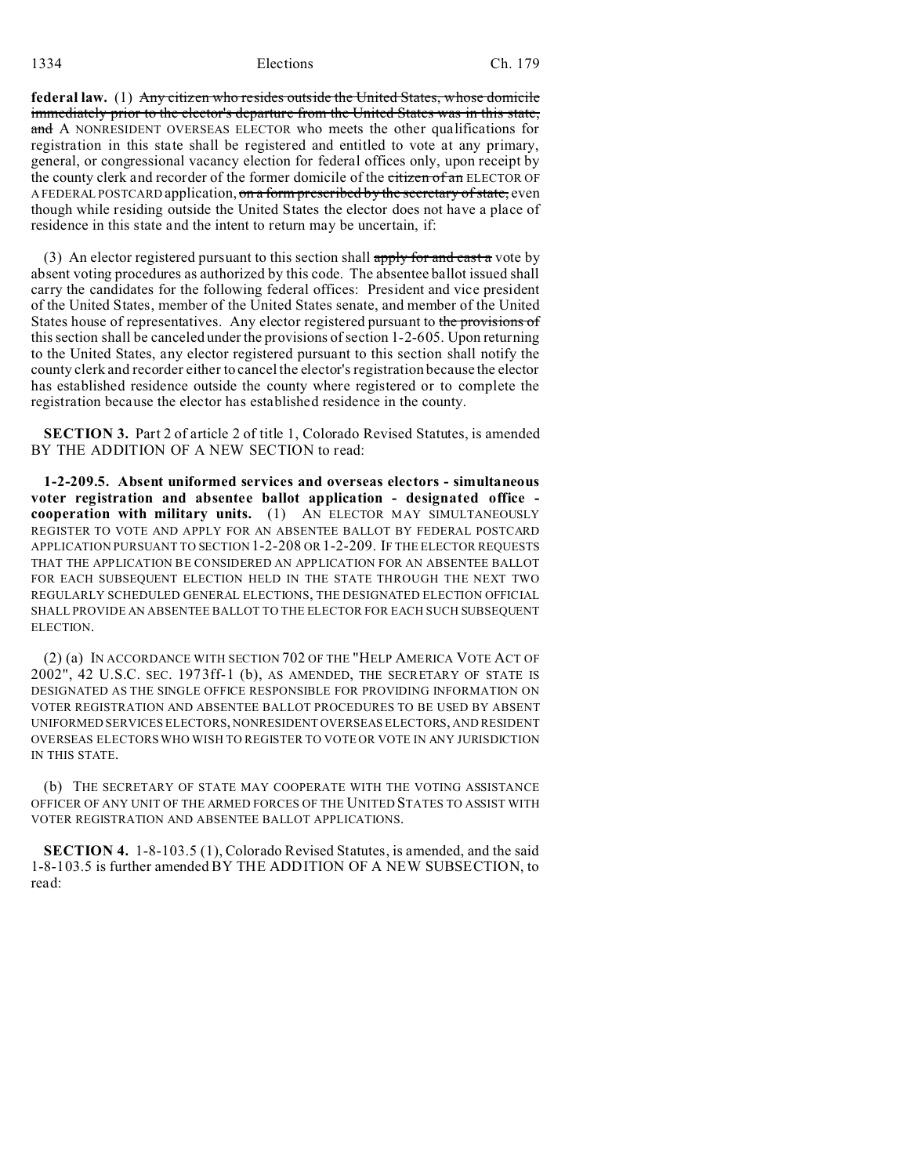1334 Elections Ch. 179

**federal law.** (1) Any citizen who resides outside the United States, whose domicile immediately prior to the elector's departure from the United States was in this state, and A NONRESIDENT OVERSEAS ELECTOR who meets the other qualifications for registration in this state shall be registered and entitled to vote at any primary, general, or congressional vacancy election for federal offices only, upon receipt by the county clerk and recorder of the former domicile of the *citizen* of an ELECTOR OF A FEDERAL POSTCARD application, on a form prescribed by the secretary of state, even though while residing outside the United States the elector does not have a place of residence in this state and the intent to return may be uncertain, if:

(3) An elector registered pursuant to this section shall apply for and cast a vote by absent voting procedures as authorized by this code. The absentee ballot issued shall carry the candidates for the following federal offices: President and vice president of the United States, member of the United States senate, and member of the United States house of representatives. Any elector registered pursuant to the provisions of this section shall be canceled under the provisions of section 1-2-605. Upon returning to the United States, any elector registered pursuant to this section shall notify the county clerk and recorder either to cancel the elector's registration because the elector has established residence outside the county where registered or to complete the registration because the elector has established residence in the county.

**SECTION 3.** Part 2 of article 2 of title 1, Colorado Revised Statutes, is amended BY THE ADDITION OF A NEW SECTION to read:

**1-2-209.5. Absent uniformed services and overseas electors - simultaneous voter registration and absentee ballot application - designated office cooperation with military units.** (1) AN ELECTOR MAY SIMULTANEOUSLY REGISTER TO VOTE AND APPLY FOR AN ABSENTEE BALLOT BY FEDERAL POSTCARD APPLICATION PURSUANT TO SECTION 1-2-208 OR 1-2-209. IF THE ELECTOR REQUESTS THAT THE APPLICATION BE CONSIDERED AN APPLICATION FOR AN ABSENTEE BALLOT FOR EACH SUBSEQUENT ELECTION HELD IN THE STATE THROUGH THE NEXT TWO REGULARLY SCHEDULED GENERAL ELECTIONS, THE DESIGNATED ELECTION OFFICIAL SHALL PROVIDE AN ABSENTEE BALLOT TO THE ELECTOR FOR EACH SUCH SUBSEQUENT ELECTION.

(2) (a) IN ACCORDANCE WITH SECTION 702 OF THE "HELP AMERICA VOTE ACT OF 2002", 42 U.S.C. SEC. 1973ff-1 (b), AS AMENDED, THE SECRETARY OF STATE IS DESIGNATED AS THE SINGLE OFFICE RESPONSIBLE FOR PROVIDING INFORMATION ON VOTER REGISTRATION AND ABSENTEE BALLOT PROCEDURES TO BE USED BY ABSENT UNIFORMED SERVICES ELECTORS, NONRESIDENT OVERSEAS ELECTORS, AND RESIDENT OVERSEAS ELECTORS WHO WISH TO REGISTER TO VOTE OR VOTE IN ANY JURISDICTION IN THIS STATE.

(b) THE SECRETARY OF STATE MAY COOPERATE WITH THE VOTING ASSISTANCE OFFICER OF ANY UNIT OF THE ARMED FORCES OF THE UNITED STATES TO ASSIST WITH VOTER REGISTRATION AND ABSENTEE BALLOT APPLICATIONS.

**SECTION 4.** 1-8-103.5 (1), Colorado Revised Statutes, is amended, and the said 1-8-103.5 is further amended BY THE ADDITION OF A NEW SUBSECTION, to read: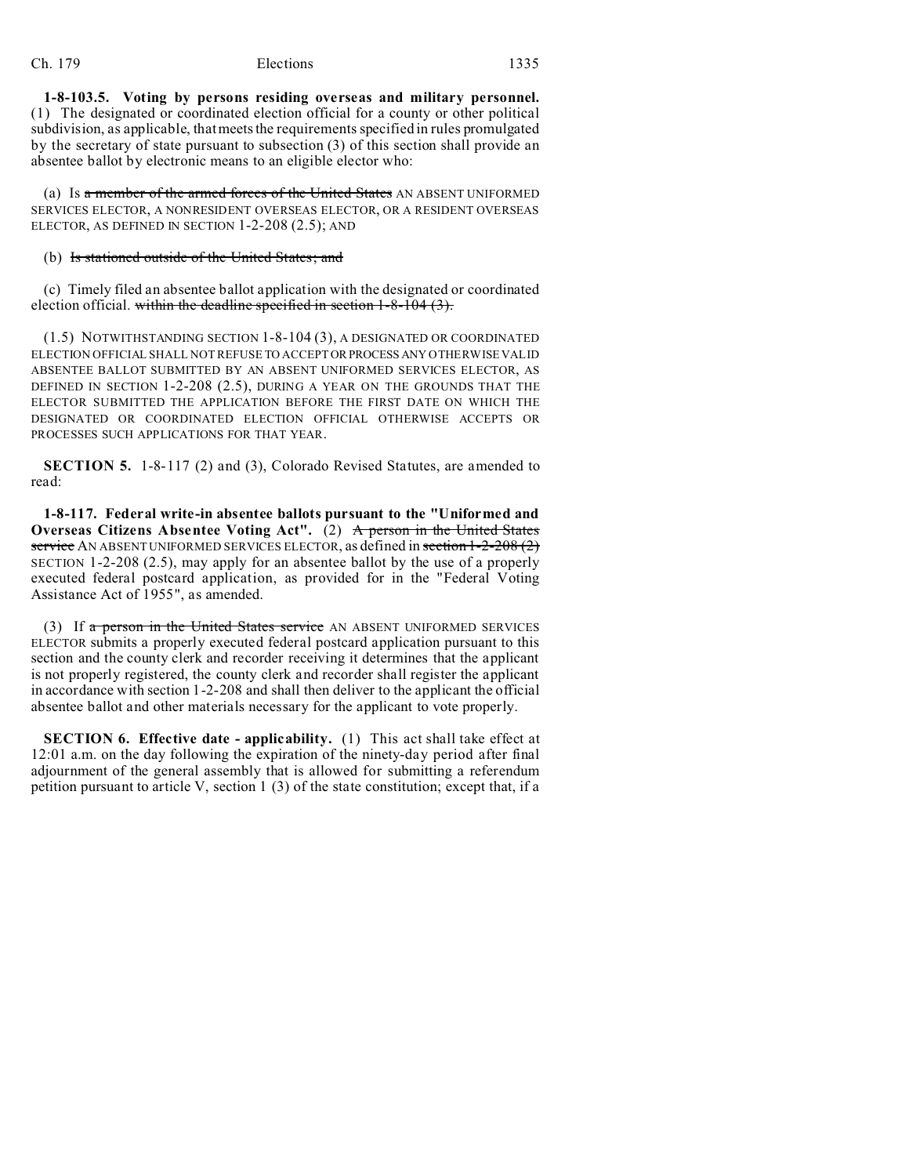**1-8-103.5. Voting by persons residing overseas and military personnel.** (1) The designated or coordinated election official for a county or other political subdivision, as applicable, that meets the requirements specified in rules promulgated by the secretary of state pursuant to subsection (3) of this section shall provide an absentee ballot by electronic means to an eligible elector who:

(a) Is a member of the armed forces of the United States AN ABSENT UNIFORMED SERVICES ELECTOR, A NONRESIDENT OVERSEAS ELECTOR, OR A RESIDENT OVERSEAS ELECTOR, AS DEFINED IN SECTION  $1-2-208(2.5)$ ; AND

(b) Is stationed outside of the United States; and

(c) Timely filed an absentee ballot application with the designated or coordinated election official. within the deadline specified in section  $1-8-104$  (3).

(1.5) NOTWITHSTANDING SECTION 1-8-104 (3), A DESIGNATED OR COORDINATED ELECTION OFFICIAL SHALL NOT REFUSE TO ACCEPTORPROCESS ANY OTHERWISE VALID ABSENTEE BALLOT SUBMITTED BY AN ABSENT UNIFORMED SERVICES ELECTOR, AS DEFINED IN SECTION 1-2-208 (2.5), DURING A YEAR ON THE GROUNDS THAT THE ELECTOR SUBMITTED THE APPLICATION BEFORE THE FIRST DATE ON WHICH THE DESIGNATED OR COORDINATED ELECTION OFFICIAL OTHERWISE ACCEPTS OR PROCESSES SUCH APPLICATIONS FOR THAT YEAR.

**SECTION 5.** 1-8-117 (2) and (3), Colorado Revised Statutes, are amended to read:

**1-8-117. Federal write-in absentee ballots pursuant to the "Uniformed and Overseas Citizens Absentee Voting Act".** (2) A person in the United States service AN ABSENT UNIFORMED SERVICES ELECTOR, as defined in section 1-2-208 (2) SECTION 1-2-208 (2.5), may apply for an absentee ballot by the use of a properly executed federal postcard application, as provided for in the "Federal Voting Assistance Act of 1955", as amended.

(3) If  $a$  person in the United States service AN ABSENT UNIFORMED SERVICES ELECTOR submits a properly executed federal postcard application pursuant to this section and the county clerk and recorder receiving it determines that the applicant is not properly registered, the county clerk and recorder shall register the applicant in accordance with section 1-2-208 and shall then deliver to the applicant the official absentee ballot and other materials necessary for the applicant to vote properly.

**SECTION 6. Effective date - applicability.** (1) This act shall take effect at 12:01 a.m. on the day following the expiration of the ninety-day period after final adjournment of the general assembly that is allowed for submitting a referendum petition pursuant to article V, section 1 (3) of the state constitution; except that, if a